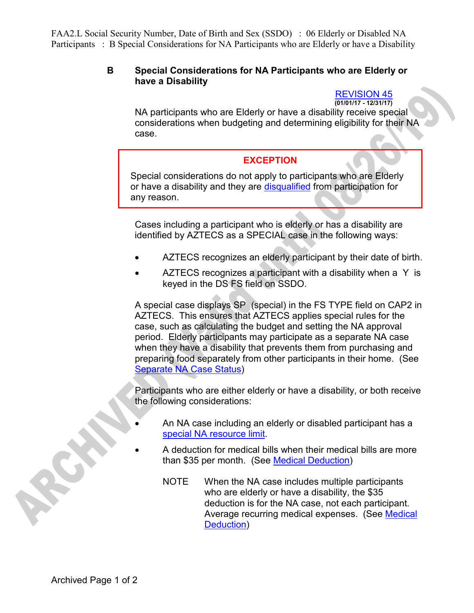FAA2.L Social Security Number, Date of Birth and Sex (SSDO) : 06 Elderly or Disabled NA Participants : B Special Considerations for NA Participants who are Elderly or have a Disability

## **B Special Considerations for NA Participants who are Elderly or have a Disability**

## REVISION 45 **(01/01/17 - 12/31/17)**

NA participants who are Elderly or have a disability receive special considerations when budgeting and determining eligibility for their NA case.

## **EXCEPTION**

Special considerations do not apply to participants who are Elderly or have a disability and they are disqualified from participation for any reason.

Cases including a participant who is elderly or has a disability are identified by AZTECS as a SPECIAL case in the following ways:

- AZTECS recognizes an elderly participant by their date of birth.
- AZTECS recognizes a participant with a disability when a Y is keyed in the DS FS field on SSDO.

A special case displays SP (special) in the FS TYPE field on CAP2 in AZTECS. This ensures that AZTECS applies special rules for the case, such as calculating the budget and setting the NA approval period. Elderly participants may participate as a separate NA case when they have a disability that prevents them from purchasing and preparing food separately from other participants in their home. (See Separate NA Case Status)

Participants who are either elderly or have a disability, or both receive the following considerations:

- An NA case including an elderly or disabled participant has a special NA resource limit.
- A deduction for medical bills when their medical bills are more than \$35 per month. (See Medical Deduction)
	- NOTE When the NA case includes multiple participants who are elderly or have a disability, the \$35 deduction is for the NA case, not each participant. Average recurring medical expenses. (See Medical Deduction)